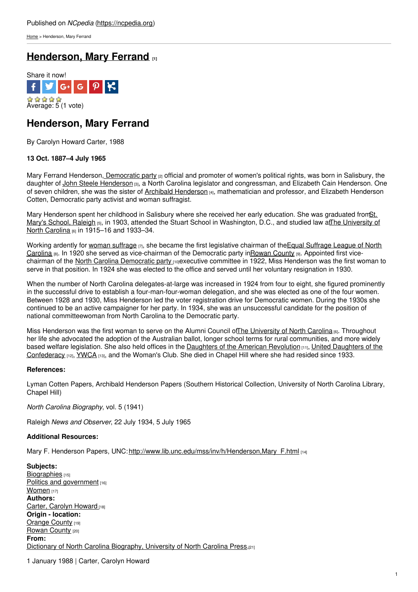[Home](https://ncpedia.org/) > Henderson, Mary Ferrand

# **[Henderson,](https://ncpedia.org/biography/henderson-mary) Mary Ferrand [1]**



## **Henderson, Mary Ferrand**

By Carolyn Howard Carter, 1988

### **13 Oct. 1887–4 July 1965**

Mary Ferrand Henderson, [Democratic](http://www.democrats.org/) party <sub>[2]</sub> official and promoter of women's political rights, was born in Salisbury, the daughter of John Steele [Henderson](https://ncpedia.org/biography/henderson-john-steele) [3], a North Carolina legislator and congressman, and Elizabeth Cain Henderson. One of seven children, she was the sister of [Archibald](http://www.social9.com) [Henderson](https://ncpedia.org/biography/henderson-archibald-0) [4], mathematician and professor, and Elizabeth Henderson Cotten, Democratic party activist and woman suffragist.

Mary Henderson spent her childhood in Salisbury where she received her early education. She was graduated fromSt. Mary's School, Raleigh [5], in 1903, attended the Stuart School in [Washington,](https://ncpedia.org/university-north-carolina-chapel-hi) D.C., and studied law atThe University of North Carolina [6] in 1915–16 and 1933–34.

Working ardently for woman [suffrage](https://ncpedia.org/women-suffrage)  $_{[7]}$ , she became the first legislative chairman of the Equal Suffrage League of North Carolina [8]. In 1920 she served as [vice-chairman](http://www.northcarolinahistory.org/commentary/207/entry) of the Democratic party i[nRowan](https://ncpedia.org/geography/rowan) County [9]. Appointed first vice-chairman of the North Carolina [Democratic](http://www.ncdp.org/) party no executive committee in 1922, Miss Henderson was the first woman to serve in that position. In 1924 she was elected to the office and served until her voluntary resignation in 1930.

When the number of North Carolina delegates-at-large was increased in 1924 from four to eight, she figured prominently in the successful drive to establish a four-man-four-woman delegation, and she was elected as one of the four women. Between 1928 and 1930, Miss Henderson led the voter registration drive for Democratic women. During the 1930s she continued to be an active campaigner for her party. In 1934, she was an unsuccessful candidate for the position of national committeewoman from North Carolina to the Democratic party.

Miss Henderson was the first woman to serve on the Alumni Council of The [University](https://ncpedia.org/university-north-carolina-chapel-hi) of North Carolina [6]. Throughout her life she advocated the adoption of the Australian ballot, longer school terms for rural communities, and more widely based welfare legislation. She also held offices in the Daughters of the American [Revolution](http://www.dar.org/) [11], United Daughters of the [Confederacy](http://www.hqudc.org/) [12], [YWCA](https://ncpedia.org/ymca-and-ywca) [13], and the Woman's Club. She died in Chapel Hill where she had resided since 1933.

### **References:**

Lyman Cotten Papers, Archibald Henderson Papers (Southern Historical Collection, University of North Carolina Library, Chapel Hill)

*North Carolina Biography*, vol. 5 (1941)

Raleigh *News and Observer*, 22 July 1934, 5 July 1965

### **Additional Resources:**

Mary F. Henderson Papers, UNC: http://www.lib.unc.edu/mss/inv/h/Henderson, Mary F.html [14]

**Subjects:** [Biographies](https://ncpedia.org/category/subjects/biography-term) [15] Politics and [government](https://ncpedia.org/category/subjects/politics-and-gove) [16] [Women](https://ncpedia.org/category/subjects/women) [17] **Authors:** Carter, [Carolyn](https://ncpedia.org/category/authors/carter-carolyn-how) Howard [18] **Origin - location:** [Orange](https://ncpedia.org/category/origin-location/piedmont/o) County [19] [Rowan](https://ncpedia.org/category/origin-location/piedmon-13) County [20] **From:** Dictionary of North Carolina [Biography,](https://ncpedia.org/category/entry-source/dictionary-no) University of North Carolina Press.[21]